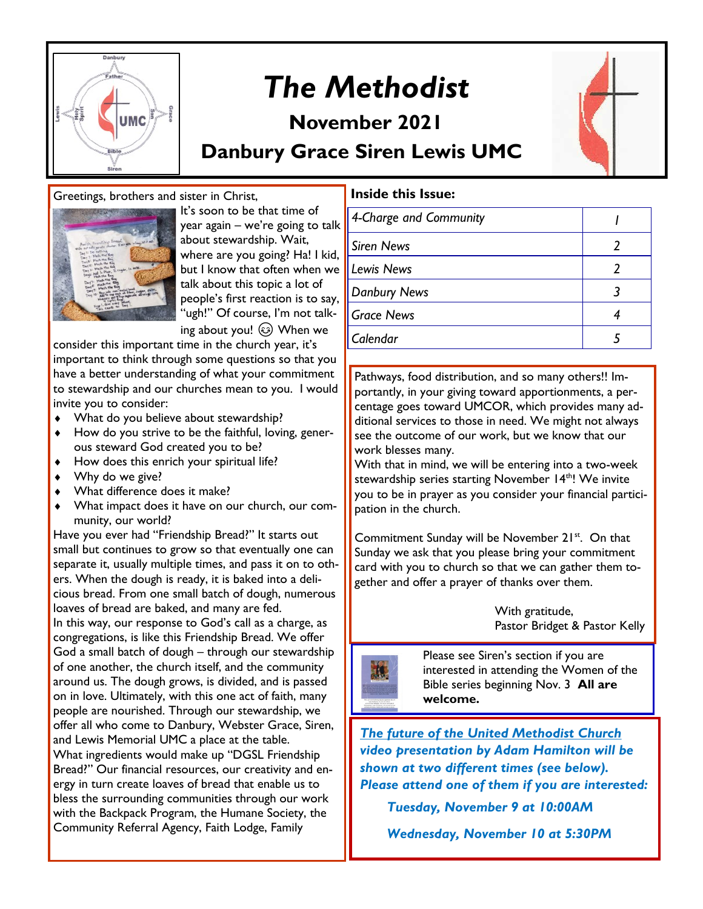

## *The Methodist*

## **November 2021**



#### Greetings, brothers and sister in Christ,



It's soon to be that time of year again – we're going to talk about stewardship. Wait, where are you going? Ha! I kid, but I know that often when we talk about this topic a lot of people's first reaction is to say, "ugh!" Of course, I'm not talking about you!  $\circled{)}$  When we

consider this important time in the church year, it's important to think through some questions so that you have a better understanding of what your commitment to stewardship and our churches mean to you. I would invite you to consider:

- What do you believe about stewardship?
- ◆ How do you strive to be the faithful, loving, generous steward God created you to be?
- $\leftrightarrow$  How does this enrich your spiritual life?
- Why do we give?
- What difference does it make?
- What impact does it have on our church, our community, our world?

Have you ever had "Friendship Bread?" It starts out small but continues to grow so that eventually one can separate it, usually multiple times, and pass it on to others. When the dough is ready, it is baked into a delicious bread. From one small batch of dough, numerous loaves of bread are baked, and many are fed. In this way, our response to God's call as a charge, as congregations, is like this Friendship Bread. We offer God a small batch of dough – through our stewardship of one another, the church itself, and the community around us. The dough grows, is divided, and is passed on in love. Ultimately, with this one act of faith, many people are nourished. Through our stewardship, we offer all who come to Danbury, Webster Grace, Siren, and Lewis Memorial UMC a place at the table. What ingredients would make up "DGSL Friendship Bread?" Our financial resources, our creativity and energy in turn create loaves of bread that enable us to bless the surrounding communities through our work with the Backpack Program, the Humane Society, the Community Referral Agency, Faith Lodge, Family

#### **Inside this Issue:**

| 4-Charge and Community |  |
|------------------------|--|
| <b>Siren News</b>      |  |
| <b>Lewis News</b>      |  |
| <b>Danbury News</b>    |  |
| <b>Grace News</b>      |  |
| Calendar               |  |
|                        |  |

Pathways, food distribution, and so many others!! Importantly, in your giving toward apportionments, a percentage goes toward UMCOR, which provides many additional services to those in need. We might not always see the outcome of our work, but we know that our work blesses many.

With that in mind, we will be entering into a two-week stewardship series starting November 14<sup>th</sup>! We invite you to be in prayer as you consider your financial participation in the church.

Commitment Sunday will be November 21<sup>st</sup>. On that Sunday we ask that you please bring your commitment card with you to church so that we can gather them together and offer a prayer of thanks over them.

> With gratitude, Pastor Bridget & Pastor Kelly



 Please see Siren's section if you are interested in attending the Women of the Bible series beginning Nov. 3 **All are welcome.** 

*The future of the United Methodist Church video presentation by Adam Hamilton will be shown at two different times (see below). Please attend one of them if you are interested:*

 *Tuesday, November 9 at 10:00AM*

 *Wednesday, November 10 at 5:30PM*

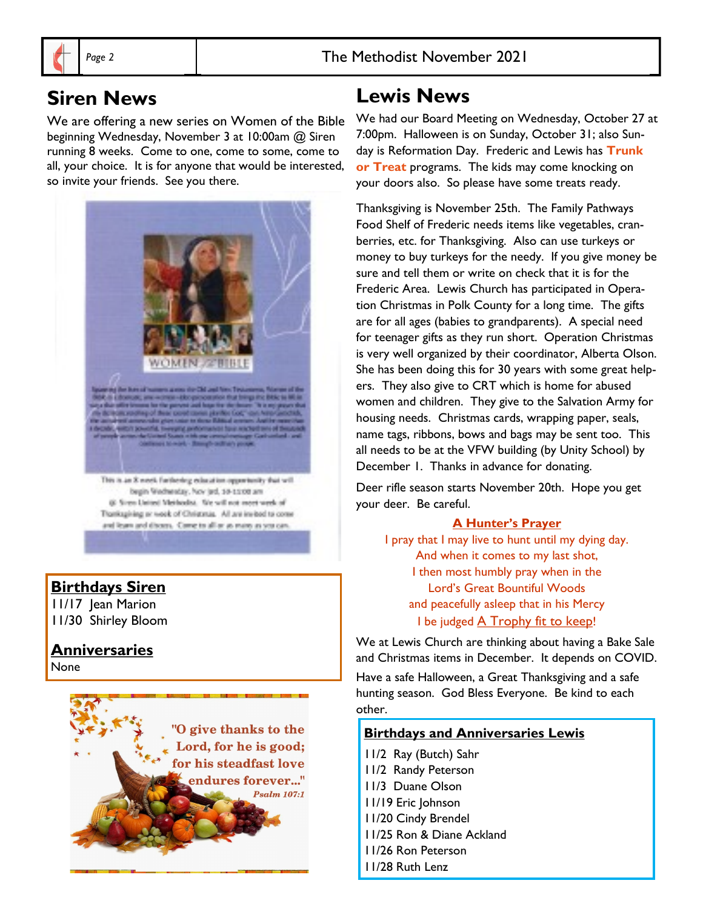## **Siren News**

We are offering a new series on Women of the Bible beginning Wednesday, November 3 at 10:00am @ Siren running 8 weeks. Come to one, come to some, come to all, your choice. It is for anyone that would be interested, so invite your friends. See you there.



Transagining at week of Christmas. All are invited to come and learn and discers. Come to all or as more as you can

#### **Birthdays Siren**

11/17 Jean Marion 11/30 Shirley Bloom

#### **Anniversaries**

None



## **Lewis News**

We had our Board Meeting on Wednesday, October 27 at 7:00pm. Halloween is on Sunday, October 31; also Sunday is Reformation Day. Frederic and Lewis has **Trunk or Treat** programs. The kids may come knocking on your doors also. So please have some treats ready.

Thanksgiving is November 25th. The Family Pathways Food Shelf of Frederic needs items like vegetables, cranberries, etc. for Thanksgiving. Also can use turkeys or money to buy turkeys for the needy. If you give money be sure and tell them or write on check that it is for the Frederic Area. Lewis Church has participated in Operation Christmas in Polk County for a long time. The gifts are for all ages (babies to grandparents). A special need for teenager gifts as they run short. Operation Christmas is very well organized by their coordinator, Alberta Olson. She has been doing this for 30 years with some great helpers. They also give to CRT which is home for abused women and children. They give to the Salvation Army for housing needs. Christmas cards, wrapping paper, seals, name tags, ribbons, bows and bags may be sent too. This all needs to be at the VFW building (by Unity School) by December 1. Thanks in advance for donating.

Deer rifle season starts November 20th. Hope you get your deer. Be careful.

#### **A Hunter's Prayer**

I pray that I may live to hunt until my dying day. And when it comes to my last shot, I then most humbly pray when in the Lord's Great Bountiful Woods and peacefully asleep that in his Mercy I be judged A Trophy fit to keep!

We at Lewis Church are thinking about having a Bake Sale and Christmas items in December. It depends on COVID.

Have a safe Halloween, a Great Thanksgiving and a safe hunting season. God Bless Everyone. Be kind to each other.

#### **Birthdays and Anniversaries Lewis**

11/2 Ray (Butch) Sahr 11/2 Randy Peterson 11/3 Duane Olson 11/19 Eric Johnson 11/20 Cindy Brendel 11/25 Ron & Diane Ackland 11/26 Ron Peterson 11/28 Ruth Lenz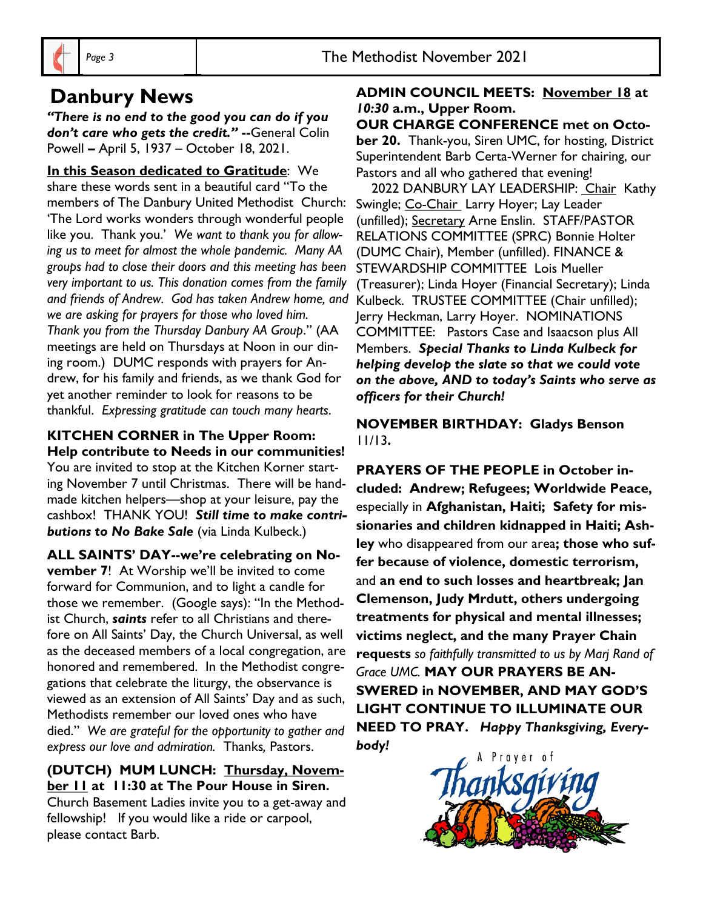## **Danbury News**

*"There is no end to the good you can do if you don't care who gets the credit."* **--**General Colin Powell **–** April 5, 1937 – October 18, 2021.

**In this Season dedicated to Gratitude**: We share these words sent in a beautiful card "To the members of The Danbury United Methodist Church: 'The Lord works wonders through wonderful people like you. Thank you.' *We want to thank you for allowing us to meet for almost the whole pandemic. Many AA groups had to close their doors and this meeting has been very important to us. This donation comes from the family and friends of Andrew. God has taken Andrew home, and we are asking for prayers for those who loved him. Thank you from the Thursday Danbury AA Group*." (AA meetings are held on Thursdays at Noon in our dining room.) DUMC responds with prayers for Andrew, for his family and friends, as we thank God for yet another reminder to look for reasons to be thankful. *Expressing gratitude can touch many hearts*.

## **KITCHEN CORNER in The Upper Room:**

**Help contribute to Needs in our communities!**  You are invited to stop at the Kitchen Korner starting November 7 until Christmas. There will be handmade kitchen helpers—shop at your leisure, pay the cashbox! THANK YOU! *Still time to make contributions to No Bake Sale* (via Linda Kulbeck.)

**ALL SAINTS' DAY--we're celebrating on November 7**! At Worship we'll be invited to come forward for Communion, and to light a candle for those we remember. (Google says): "In the Methodist Church, *saints* refer to all Christians and therefore on All Saints' Day, the Church Universal, as well as the deceased members of a local congregation, are honored and remembered. In the Methodist congregations that celebrate the liturgy, the observance is viewed as an extension of All Saints' Day and as such, Methodists remember our loved ones who have died." *We are grateful for the opportunity to gather and express our love and admiration.* Thanks*,* Pastors.

#### **(DUTCH) MUM LUNCH: Thursday, November 11 at 11:30 at The Pour House in Siren.**

Church Basement Ladies invite you to a get-away and fellowship! If you would like a ride or carpool, please contact Barb.

#### **ADMIN COUNCIL MEETS: November 18 at**  *10:30* **a.m., Upper Room.**

#### **OUR CHARGE CONFERENCE met on Octo-**

**ber 20.** Thank-you, Siren UMC, for hosting, District Superintendent Barb Certa-Werner for chairing, our Pastors and all who gathered that evening!

2022 DANBURY LAY LEADERSHIP: Chair Kathy Swingle; Co-Chair Larry Hoyer; Lay Leader (unfilled); Secretary Arne Enslin. STAFF/PASTOR RELATIONS COMMITTEE (SPRC) Bonnie Holter (DUMC Chair), Member (unfilled). FINANCE & STEWARDSHIP COMMITTEE Lois Mueller (Treasurer); Linda Hoyer (Financial Secretary); Linda Kulbeck. TRUSTEE COMMITTEE (Chair unfilled); Jerry Heckman, Larry Hoyer. NOMINATIONS COMMITTEE: Pastors Case and Isaacson plus All Members. *Special Thanks to Linda Kulbeck for helping develop the slate so that we could vote on the above, AND to today's Saints who serve as officers for their Church!*

#### **NOVEMBER BIRTHDAY: Gladys Benson**  11/13**.**

**PRAYERS OF THE PEOPLE in October included: Andrew; Refugees; Worldwide Peace,**  especially in **Afghanistan, Haiti; Safety for missionaries and children kidnapped in Haiti; Ashley** who disappeared from our area**; those who suffer because of violence, domestic terrorism,** and **an end to such losses and heartbreak; Jan Clemenson, Judy Mrdutt, others undergoing treatments for physical and mental illnesses; victims neglect, and the many Prayer Chain requests** *so faithfully transmitted to us by Marj Rand of Grace UMC.* **MAY OUR PRAYERS BE AN-SWERED in NOVEMBER, AND MAY GOD'S LIGHT CONTINUE TO ILLUMINATE OUR NEED TO PRAY.** *Happy Thanksgiving, Everybody!*

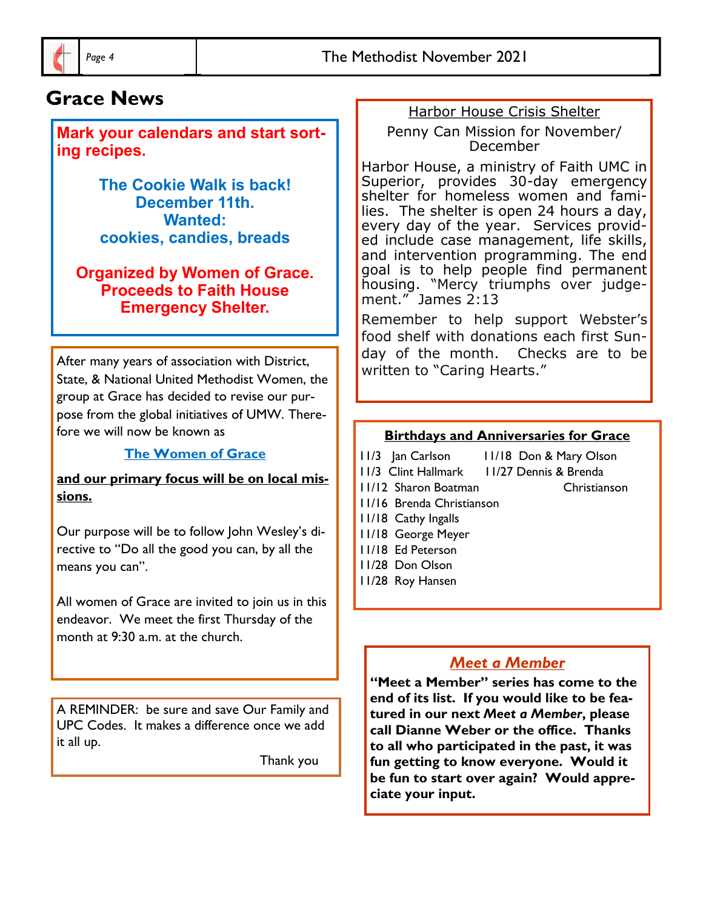## **Grace News**

**Mark your calendars and start sorting recipes.**

> **The Cookie Walk is back! December 11th. Wanted: cookies, candies, breads**

**Organized by Women of Grace. Proceeds to Faith House Emergency Shelter.**

After many years of association with District, State, & National United Methodist Women, the group at Grace has decided to revise our purpose from the global initiatives of UMW. Therefore we will now be known as

#### **The Women of Grace**

**and our primary focus will be on local missions.**

Our purpose will be to follow John Wesley's directive to "Do all the good you can, by all the means you can".

All women of Grace are invited to join us in this endeavor. We meet the first Thursday of the month at 9:30 a.m. at the church.

A REMINDER: be sure and save Our Family and UPC Codes. It makes a difference once we add it all up.

Thank you

#### Harbor House Crisis Shelter

Penny Can Mission for November/ December

Harbor House, a ministry of Faith UMC in Superior, provides 30-day emergency shelter for homeless women and families. The shelter is open 24 hours a day, every day of the year. Services provided include case management, life skills, and intervention programming. The end goal is to help people find permanent housing. "Mercy triumphs over judgement." James 2:13

Remember to help support Webster's food shelf with donations each first Sunday of the month. Checks are to be written to "Caring Hearts."

#### **Birthdays and Anniversaries for Grace**

- 11/3 Jan Carlson 11/18 Don & Mary Olson
- 11/3 Clint Hallmark 11/27 Dennis & Brenda
- 11/12 Sharon Boatman Christianson
- 11/16 Brenda Christianson
- 11/18 Cathy Ingalls
- 11/18 George Meyer
- 11/18 Ed Peterson
- 11/28 Don Olson
- 11/28 Roy Hansen

#### *Meet a Member*

**"Meet a Member" series has come to the end of its list. If you would like to be featured in our next** *Meet a Member***, please call Dianne Weber or the office. Thanks to all who participated in the past, it was fun getting to know everyone. Would it be fun to start over again? Would appreciate your input.**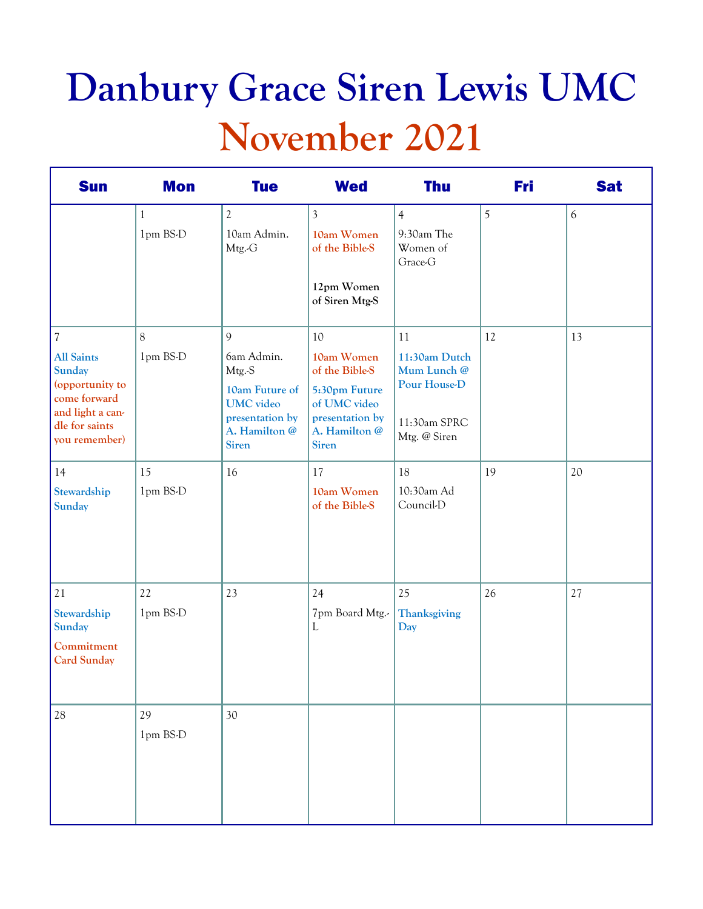# **Danbury Grace Siren Lewis UMC November 2021**

| <b>Sun</b>                                                                                                                   | <b>Mon</b>   | <b>Tue</b>                                                                             | <b>Wed</b>                                                                        | <b>Thu</b>                                   | Fri | <b>Sat</b> |
|------------------------------------------------------------------------------------------------------------------------------|--------------|----------------------------------------------------------------------------------------|-----------------------------------------------------------------------------------|----------------------------------------------|-----|------------|
|                                                                                                                              | $\mathbf{1}$ | $\mathfrak{2}$                                                                         | $\overline{3}$                                                                    | $\overline{4}$                               | 5   | 6          |
|                                                                                                                              | 1pm BS-D     | 10am Admin.<br>Mtg.-G                                                                  | 10am Women<br>of the Bible-S                                                      | 9:30am The<br>Women of<br>Grace-G            |     |            |
|                                                                                                                              |              |                                                                                        | 12pm Women<br>of Siren Mtg-S                                                      |                                              |     |            |
| $\sqrt{2}$                                                                                                                   | 8            | 9                                                                                      | 10                                                                                | 11                                           | 12  | 13         |
| <b>All Saints</b><br><b>Sunday</b><br>(opportunity to<br>come forward<br>and light a can-<br>dle for saints<br>you remember) | 1pm BS-D     | 6am Admin.<br>Mtg.-S                                                                   | 10am Women<br>of the Bible-S                                                      | 11:30am Dutch<br>Mum Lunch @                 |     |            |
|                                                                                                                              |              | 10am Future of<br><b>UMC</b> video<br>presentation by<br>A. Hamilton @<br><b>Siren</b> | 5:30pm Future<br>of UMC video<br>presentation by<br>A. Hamilton @<br><b>Siren</b> | Pour House-D<br>11:30am SPRC<br>Mtg. @ Siren |     |            |
| 14                                                                                                                           | 15           | 16                                                                                     | 17                                                                                | 18                                           | 19  | 20         |
| Stewardship<br>Sunday                                                                                                        | 1pm BS-D     |                                                                                        | 10am Women<br>of the Bible-S                                                      | 10:30am Ad<br>Council-D                      |     |            |
| $21\,$                                                                                                                       | 22           | 23                                                                                     | 24                                                                                | 25                                           | 26  | 27         |
| Stewardship<br><b>Sunday</b>                                                                                                 | 1pm BS-D     |                                                                                        | 7pm Board Mtg.-<br>L                                                              | Thanksgiving<br>Day                          |     |            |
| Commitment<br><b>Card Sunday</b>                                                                                             |              |                                                                                        |                                                                                   |                                              |     |            |
| $28\,$                                                                                                                       | 29           | 30                                                                                     |                                                                                   |                                              |     |            |
|                                                                                                                              | 1pm BS-D     |                                                                                        |                                                                                   |                                              |     |            |
|                                                                                                                              |              |                                                                                        |                                                                                   |                                              |     |            |